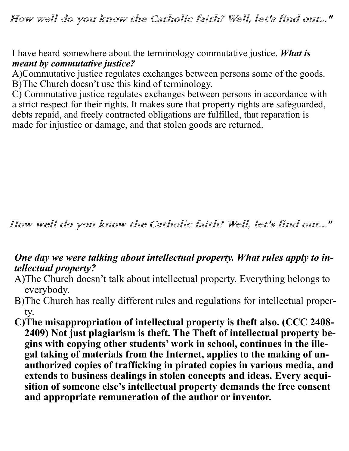I have heard somewhere about the terminology commutative justice. *What is meant by commutative justice?*

A)Commutative justice regulates exchanges between persons some of the goods. B)The Church doesn't use this kind of terminology.

C) Commutative justice regulates exchanges between persons in accordance with a strict respect for their rights. It makes sure that property rights are safeguarded, debts repaid, and freely contracted obligations are fulfilled, that reparation is made for injustice or damage, and that stolen goods are returned.

How well do you know the Catholic faith? Well, let's find out..."

## *One day we were talking about intellectual property. What rules apply to intellectual property?*

- A)The Church doesn't talk about intellectual property. Everything belongs to everybody.
- B)The Church has really different rules and regulations for intellectual property.
- **C)The misappropriation of intellectual property is theft also. (CCC 2408- 2409) Not just plagiarism is theft. The Theft of intellectual property begins with copying other students' work in school, continues in the illegal taking of materials from the Internet, applies to the making of unauthorized copies of trafficking in pirated copies in various media, and extends to business dealings in stolen concepts and ideas. Every acquisition of someone else's intellectual property demands the free consent and appropriate remuneration of the author or inventor.**